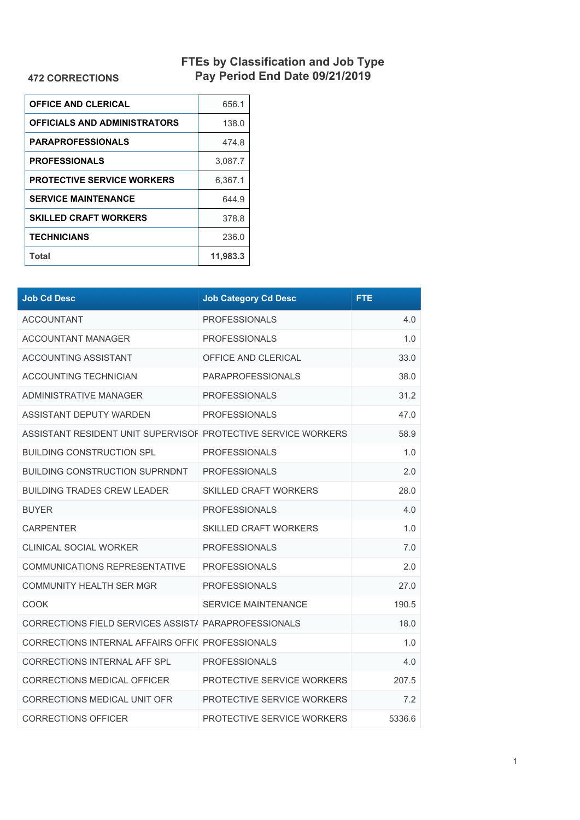## **FTEs by Classification and Job Type Pay Period End Date 09/21/2019**

## **472 CORRECTIONS**

| <b>OFFICE AND CLERICAL</b>        | 656.1    |
|-----------------------------------|----------|
| OFFICIALS AND ADMINISTRATORS      | 138.0    |
| <b>PARAPROFESSIONALS</b>          | 474.8    |
| <b>PROFESSIONALS</b>              | 3,087.7  |
| <b>PROTECTIVE SERVICE WORKERS</b> | 6.367.1  |
| <b>SERVICE MAINTENANCE</b>        | 644.9    |
| <b>SKILLED CRAFT WORKERS</b>      | 378.8    |
| <b>TECHNICIANS</b>                | 236.0    |
| Total                             | 11,983.3 |

| <b>Job Cd Desc</b>                                            | <b>Job Category Cd Desc</b>  | <b>FTE</b> |
|---------------------------------------------------------------|------------------------------|------------|
| <b>ACCOUNTANT</b>                                             | <b>PROFESSIONALS</b>         | 4.0        |
| <b>ACCOUNTANT MANAGER</b>                                     | <b>PROFESSIONALS</b>         | 1.0        |
| <b>ACCOUNTING ASSISTANT</b>                                   | OFFICE AND CLERICAL          | 33.0       |
| <b>ACCOUNTING TECHNICIAN</b>                                  | <b>PARAPROFESSIONALS</b>     | 38.0       |
| ADMINISTRATIVE MANAGER                                        | <b>PROFESSIONALS</b>         | 31.2       |
| ASSISTANT DEPUTY WARDEN                                       | <b>PROFESSIONALS</b>         | 47.0       |
| ASSISTANT RESIDENT UNIT SUPERVISOF PROTECTIVE SERVICE WORKERS |                              | 58.9       |
| <b>BUILDING CONSTRUCTION SPL</b>                              | <b>PROFESSIONALS</b>         | 1.0        |
| <b>BUILDING CONSTRUCTION SUPRNDNT</b>                         | <b>PROFESSIONALS</b>         | 2.0        |
| <b>BUILDING TRADES CREW LEADER</b>                            | <b>SKILLED CRAFT WORKERS</b> | 28.0       |
| <b>BUYER</b>                                                  | <b>PROFESSIONALS</b>         | 4.0        |
| <b>CARPENTER</b>                                              | <b>SKILLED CRAFT WORKERS</b> | 1.0        |
| <b>CLINICAL SOCIAL WORKER</b>                                 | <b>PROFESSIONALS</b>         | 7.0        |
| COMMUNICATIONS REPRESENTATIVE                                 | <b>PROFESSIONALS</b>         | 2.0        |
| <b>COMMUNITY HEALTH SER MGR</b>                               | <b>PROFESSIONALS</b>         | 27.0       |
| COOK                                                          | <b>SERVICE MAINTENANCE</b>   | 190.5      |
| CORRECTIONS FIELD SERVICES ASSIST/ PARAPROFESSIONALS          |                              | 18.0       |
| CORRECTIONS INTERNAL AFFAIRS OFFIC PROFESSIONALS              |                              | 1.0        |
| CORRECTIONS INTERNAL AFF SPL                                  | <b>PROFESSIONALS</b>         | 4.0        |
| CORRECTIONS MEDICAL OFFICER                                   | PROTECTIVE SERVICE WORKERS   | 207.5      |
| CORRECTIONS MEDICAL UNIT OFR                                  | PROTECTIVE SERVICE WORKERS   | 7.2        |
| <b>CORRECTIONS OFFICER</b>                                    | PROTECTIVE SERVICE WORKERS   | 5336.6     |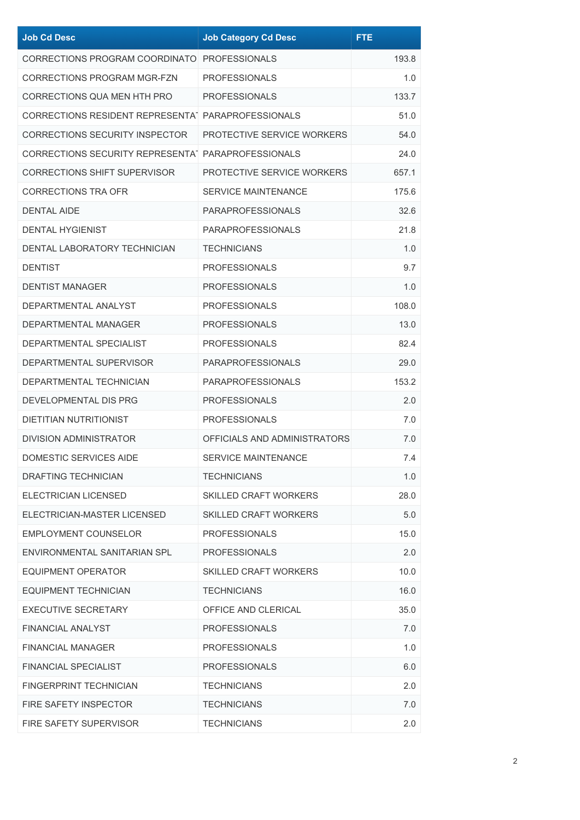| <b>Job Cd Desc</b>                                 | <b>Job Category Cd Desc</b>  | <b>FTE</b> |
|----------------------------------------------------|------------------------------|------------|
| CORRECTIONS PROGRAM COORDINATO PROFESSIONALS       |                              | 193.8      |
| CORRECTIONS PROGRAM MGR-FZN                        | <b>PROFESSIONALS</b>         | 1.0        |
| <b>CORRECTIONS QUA MEN HTH PRO</b>                 | <b>PROFESSIONALS</b>         | 133.7      |
| CORRECTIONS RESIDENT REPRESENTAT PARAPROFESSIONALS |                              | 51.0       |
| <b>CORRECTIONS SECURITY INSPECTOR</b>              | PROTECTIVE SERVICE WORKERS   | 54.0       |
| CORRECTIONS SECURITY REPRESENTAT PARAPROFESSIONALS |                              | 24.0       |
| <b>CORRECTIONS SHIFT SUPERVISOR</b>                | PROTECTIVE SERVICE WORKERS   | 657.1      |
| <b>CORRECTIONS TRA OFR</b>                         | <b>SERVICE MAINTENANCE</b>   | 175.6      |
| <b>DENTAL AIDE</b>                                 | <b>PARAPROFESSIONALS</b>     | 32.6       |
| <b>DENTAL HYGIENIST</b>                            | <b>PARAPROFESSIONALS</b>     | 21.8       |
| DENTAL LABORATORY TECHNICIAN                       | <b>TECHNICIANS</b>           | 1.0        |
| <b>DENTIST</b>                                     | <b>PROFESSIONALS</b>         | 9.7        |
| <b>DENTIST MANAGER</b>                             | <b>PROFESSIONALS</b>         | 1.0        |
| DEPARTMENTAL ANALYST                               | <b>PROFESSIONALS</b>         | 108.0      |
| DEPARTMENTAL MANAGER                               | <b>PROFESSIONALS</b>         | 13.0       |
| DEPARTMENTAL SPECIALIST                            | <b>PROFESSIONALS</b>         | 82.4       |
| DEPARTMENTAL SUPERVISOR                            | <b>PARAPROFESSIONALS</b>     | 29.0       |
| DEPARTMENTAL TECHNICIAN                            | <b>PARAPROFESSIONALS</b>     | 153.2      |
| DEVELOPMENTAL DIS PRG                              | <b>PROFESSIONALS</b>         | 2.0        |
| <b>DIETITIAN NUTRITIONIST</b>                      | <b>PROFESSIONALS</b>         | 7.0        |
| DIVISION ADMINISTRATOR                             | OFFICIALS AND ADMINISTRATORS | 7.0        |
| <b>DOMESTIC SERVICES AIDE</b>                      | SERVICE MAINTENANCE          | 7.4        |
| DRAFTING TECHNICIAN                                | <b>TECHNICIANS</b>           | 1.0        |
| ELECTRICIAN LICENSED                               | <b>SKILLED CRAFT WORKERS</b> | 28.0       |
| ELECTRICIAN-MASTER LICENSED                        | <b>SKILLED CRAFT WORKERS</b> | 5.0        |
| <b>EMPLOYMENT COUNSELOR</b>                        | <b>PROFESSIONALS</b>         | 15.0       |
| ENVIRONMENTAL SANITARIAN SPL                       | <b>PROFESSIONALS</b>         | 2.0        |
| <b>EQUIPMENT OPERATOR</b>                          | <b>SKILLED CRAFT WORKERS</b> | 10.0       |
| <b>EQUIPMENT TECHNICIAN</b>                        | <b>TECHNICIANS</b>           | 16.0       |
| <b>EXECUTIVE SECRETARY</b>                         | OFFICE AND CLERICAL          | 35.0       |
| FINANCIAL ANALYST                                  | <b>PROFESSIONALS</b>         | 7.0        |
| <b>FINANCIAL MANAGER</b>                           | <b>PROFESSIONALS</b>         | 1.0        |
| <b>FINANCIAL SPECIALIST</b>                        | <b>PROFESSIONALS</b>         | 6.0        |
| FINGERPRINT TECHNICIAN                             | <b>TECHNICIANS</b>           | 2.0        |
| FIRE SAFETY INSPECTOR                              | <b>TECHNICIANS</b>           | 7.0        |
| FIRE SAFETY SUPERVISOR                             | <b>TECHNICIANS</b>           | 2.0        |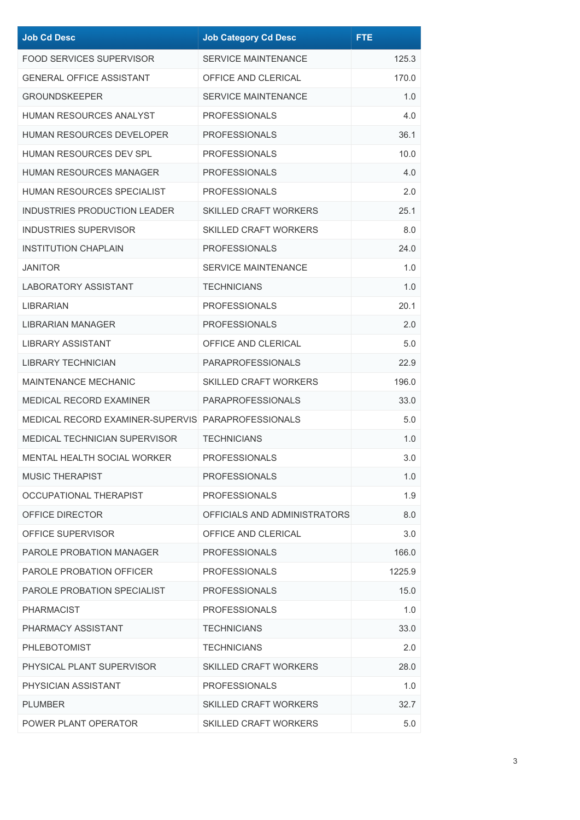| <b>Job Cd Desc</b>                                 | <b>Job Category Cd Desc</b>  | <b>FTE</b> |
|----------------------------------------------------|------------------------------|------------|
| <b>FOOD SERVICES SUPERVISOR</b>                    | <b>SERVICE MAINTENANCE</b>   | 125.3      |
| <b>GENERAL OFFICE ASSISTANT</b>                    | OFFICE AND CLERICAL          | 170.0      |
| <b>GROUNDSKEEPER</b>                               | <b>SERVICE MAINTENANCE</b>   | 1.0        |
| <b>HUMAN RESOURCES ANALYST</b>                     | <b>PROFESSIONALS</b>         | 4.0        |
| <b>HUMAN RESOURCES DEVELOPER</b>                   | <b>PROFESSIONALS</b>         | 36.1       |
| HUMAN RESOURCES DEV SPL                            | <b>PROFESSIONALS</b>         | 10.0       |
| HUMAN RESOURCES MANAGER                            | <b>PROFESSIONALS</b>         | 4.0        |
| HUMAN RESOURCES SPECIALIST                         | <b>PROFESSIONALS</b>         | 2.0        |
| <b>INDUSTRIES PRODUCTION LEADER</b>                | <b>SKILLED CRAFT WORKERS</b> | 25.1       |
| <b>INDUSTRIES SUPERVISOR</b>                       | <b>SKILLED CRAFT WORKERS</b> | 8.0        |
| <b>INSTITUTION CHAPLAIN</b>                        | <b>PROFESSIONALS</b>         | 24.0       |
| JANITOR                                            | <b>SERVICE MAINTENANCE</b>   | 1.0        |
| <b>LABORATORY ASSISTANT</b>                        | <b>TECHNICIANS</b>           | 1.0        |
| LIBRARIAN                                          | <b>PROFESSIONALS</b>         | 20.1       |
| LIBRARIAN MANAGER                                  | <b>PROFESSIONALS</b>         | 2.0        |
| <b>LIBRARY ASSISTANT</b>                           | OFFICE AND CLERICAL          | 5.0        |
| <b>LIBRARY TECHNICIAN</b>                          | <b>PARAPROFESSIONALS</b>     | 22.9       |
| <b>MAINTENANCE MECHANIC</b>                        | <b>SKILLED CRAFT WORKERS</b> | 196.0      |
| <b>MEDICAL RECORD EXAMINER</b>                     | <b>PARAPROFESSIONALS</b>     | 33.0       |
| MEDICAL RECORD EXAMINER-SUPERVIS PARAPROFESSIONALS |                              | 5.0        |
| <b>MEDICAL TECHNICIAN SUPERVISOR</b>               | <b>TECHNICIANS</b>           | 1.0        |
| <b>MENTAL HEALTH SOCIAL WORKER</b>                 | <b>PROFESSIONALS</b>         | 3.0        |
| <b>MUSIC THERAPIST</b>                             | <b>PROFESSIONALS</b>         | 1.0        |
| OCCUPATIONAL THERAPIST                             | <b>PROFESSIONALS</b>         | 1.9        |
| OFFICE DIRECTOR                                    | OFFICIALS AND ADMINISTRATORS | 8.0        |
| OFFICE SUPERVISOR                                  | OFFICE AND CLERICAL          | 3.0        |
| <b>PAROLE PROBATION MANAGER</b>                    | <b>PROFESSIONALS</b>         | 166.0      |
| PAROLE PROBATION OFFICER                           | <b>PROFESSIONALS</b>         | 1225.9     |
| PAROLE PROBATION SPECIALIST                        | <b>PROFESSIONALS</b>         | 15.0       |
| <b>PHARMACIST</b>                                  | <b>PROFESSIONALS</b>         | 1.0        |
| PHARMACY ASSISTANT                                 | <b>TECHNICIANS</b>           | 33.0       |
| <b>PHLEBOTOMIST</b>                                | <b>TECHNICIANS</b>           | 2.0        |
| PHYSICAL PLANT SUPERVISOR                          | <b>SKILLED CRAFT WORKERS</b> | 28.0       |
| PHYSICIAN ASSISTANT                                | <b>PROFESSIONALS</b>         | 1.0        |
| PLUMBER                                            | <b>SKILLED CRAFT WORKERS</b> | 32.7       |
| POWER PLANT OPERATOR                               | <b>SKILLED CRAFT WORKERS</b> | 5.0        |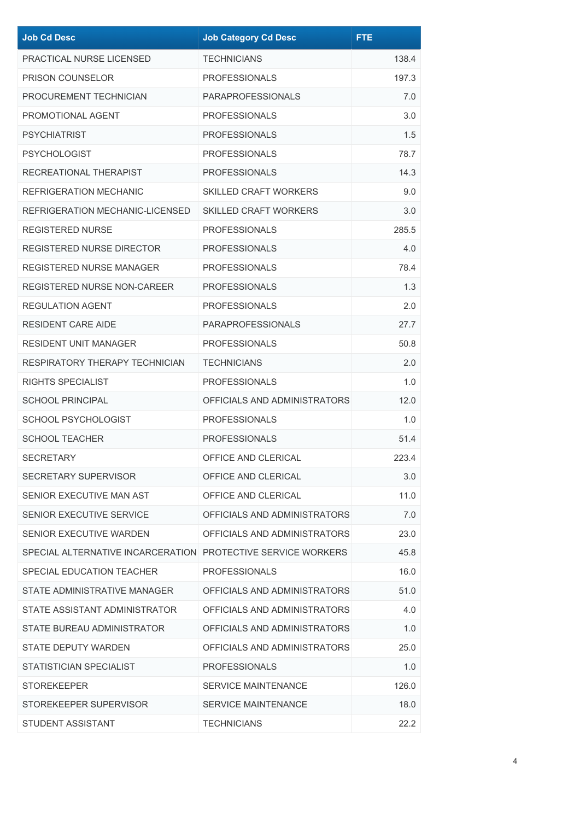| <b>Job Cd Desc</b>                                           | <b>Job Category Cd Desc</b>  | <b>FTE</b> |
|--------------------------------------------------------------|------------------------------|------------|
| PRACTICAL NURSE LICENSED                                     | <b>TECHNICIANS</b>           | 138.4      |
| <b>PRISON COUNSELOR</b>                                      | <b>PROFESSIONALS</b>         | 197.3      |
| PROCUREMENT TECHNICIAN                                       | <b>PARAPROFESSIONALS</b>     | 7.0        |
| PROMOTIONAL AGENT                                            | <b>PROFESSIONALS</b>         | 3.0        |
| <b>PSYCHIATRIST</b>                                          | <b>PROFESSIONALS</b>         | 1.5        |
| <b>PSYCHOLOGIST</b>                                          | <b>PROFESSIONALS</b>         | 78.7       |
| RECREATIONAL THERAPIST                                       | <b>PROFESSIONALS</b>         | 14.3       |
| <b>REFRIGERATION MECHANIC</b>                                | <b>SKILLED CRAFT WORKERS</b> | 9.0        |
| REFRIGERATION MECHANIC-LICENSED                              | <b>SKILLED CRAFT WORKERS</b> | 3.0        |
| <b>REGISTERED NURSE</b>                                      | <b>PROFESSIONALS</b>         | 285.5      |
| REGISTERED NURSE DIRECTOR                                    | <b>PROFESSIONALS</b>         | 4.0        |
| <b>REGISTERED NURSE MANAGER</b>                              | <b>PROFESSIONALS</b>         | 78.4       |
| <b>REGISTERED NURSE NON-CAREER</b>                           | <b>PROFESSIONALS</b>         | 1.3        |
| <b>REGULATION AGENT</b>                                      | <b>PROFESSIONALS</b>         | 2.0        |
| <b>RESIDENT CARE AIDE</b>                                    | <b>PARAPROFESSIONALS</b>     | 27.7       |
| <b>RESIDENT UNIT MANAGER</b>                                 | <b>PROFESSIONALS</b>         | 50.8       |
| RESPIRATORY THERAPY TECHNICIAN                               | <b>TECHNICIANS</b>           | 2.0        |
| RIGHTS SPECIALIST                                            | <b>PROFESSIONALS</b>         | 1.0        |
| <b>SCHOOL PRINCIPAL</b>                                      | OFFICIALS AND ADMINISTRATORS | 12.0       |
| <b>SCHOOL PSYCHOLOGIST</b>                                   | <b>PROFESSIONALS</b>         | 1.0        |
| <b>SCHOOL TEACHER</b>                                        | <b>PROFESSIONALS</b>         | 51.4       |
| <b>SECRETARY</b>                                             | OFFICE AND CLERICAL          | 223.4      |
| SECRETARY SUPERVISOR                                         | OFFICE AND CLERICAL          | 3.0        |
| SENIOR EXECUTIVE MAN AST                                     | OFFICE AND CLERICAL          | 11.0       |
| SENIOR EXECUTIVE SERVICE                                     | OFFICIALS AND ADMINISTRATORS | 7.0        |
| SENIOR EXECUTIVE WARDEN                                      | OFFICIALS AND ADMINISTRATORS | 23.0       |
| SPECIAL ALTERNATIVE INCARCERATION PROTECTIVE SERVICE WORKERS |                              | 45.8       |
| SPECIAL EDUCATION TEACHER                                    | <b>PROFESSIONALS</b>         | 16.0       |
| STATE ADMINISTRATIVE MANAGER                                 | OFFICIALS AND ADMINISTRATORS | 51.0       |
| STATE ASSISTANT ADMINISTRATOR                                | OFFICIALS AND ADMINISTRATORS | 4.0        |
| STATE BUREAU ADMINISTRATOR                                   | OFFICIALS AND ADMINISTRATORS | 1.0        |
| <b>STATE DEPUTY WARDEN</b>                                   | OFFICIALS AND ADMINISTRATORS | 25.0       |
| STATISTICIAN SPECIALIST                                      | <b>PROFESSIONALS</b>         | 1.0        |
| <b>STOREKEEPER</b>                                           | SERVICE MAINTENANCE          | 126.0      |
| STOREKEEPER SUPERVISOR                                       | <b>SERVICE MAINTENANCE</b>   | 18.0       |
| STUDENT ASSISTANT                                            | <b>TECHNICIANS</b>           | 22.2       |